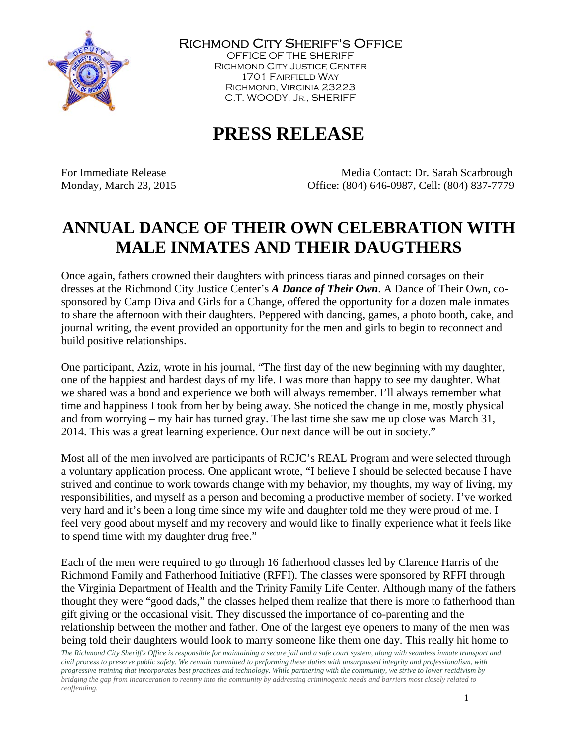

Richmond City Sheriff's Office

OFFICE OF THE SHERIFF Richmond City Justice Center 1701 Fairfield Way Richmond, Virginia 23223 C.T. WOODY, JR., SHERIFF

## **PRESS RELEASE**

For Immediate Release Media Contact: Dr. Sarah Scarbrough Monday, March 23, 2015 Office: (804) 646-0987, Cell: (804) 837-7779

## **ANNUAL DANCE OF THEIR OWN CELEBRATION WITH MALE INMATES AND THEIR DAUGTHERS**

Once again, fathers crowned their daughters with princess tiaras and pinned corsages on their dresses at the Richmond City Justice Center's *A Dance of Their Own*. A Dance of Their Own, cosponsored by Camp Diva and Girls for a Change, offered the opportunity for a dozen male inmates to share the afternoon with their daughters. Peppered with dancing, games, a photo booth, cake, and journal writing, the event provided an opportunity for the men and girls to begin to reconnect and build positive relationships.

One participant, Aziz, wrote in his journal, "The first day of the new beginning with my daughter, one of the happiest and hardest days of my life. I was more than happy to see my daughter. What we shared was a bond and experience we both will always remember. I'll always remember what time and happiness I took from her by being away. She noticed the change in me, mostly physical and from worrying – my hair has turned gray. The last time she saw me up close was March 31, 2014. This was a great learning experience. Our next dance will be out in society."

Most all of the men involved are participants of RCJC's REAL Program and were selected through a voluntary application process. One applicant wrote, "I believe I should be selected because I have strived and continue to work towards change with my behavior, my thoughts, my way of living, my responsibilities, and myself as a person and becoming a productive member of society. I've worked very hard and it's been a long time since my wife and daughter told me they were proud of me. I feel very good about myself and my recovery and would like to finally experience what it feels like to spend time with my daughter drug free."

Each of the men were required to go through 16 fatherhood classes led by Clarence Harris of the Richmond Family and Fatherhood Initiative (RFFI). The classes were sponsored by RFFI through the Virginia Department of Health and the Trinity Family Life Center. Although many of the fathers thought they were "good dads," the classes helped them realize that there is more to fatherhood than gift giving or the occasional visit. They discussed the importance of co-parenting and the relationship between the mother and father. One of the largest eye openers to many of the men was being told their daughters would look to marry someone like them one day. This really hit home to

*The Richmond City Sheriff's Office is responsible for maintaining a secure jail and a safe court system, along with seamless inmate transport and civil process to preserve public safety. We remain committed to performing these duties with unsurpassed integrity and professionalism, with progressive training that incorporates best practices and technology. While partnering with the community, we strive to lower recidivism by bridging the gap from incarceration to reentry into the community by addressing criminogenic needs and barriers most closely related to reoffending.*